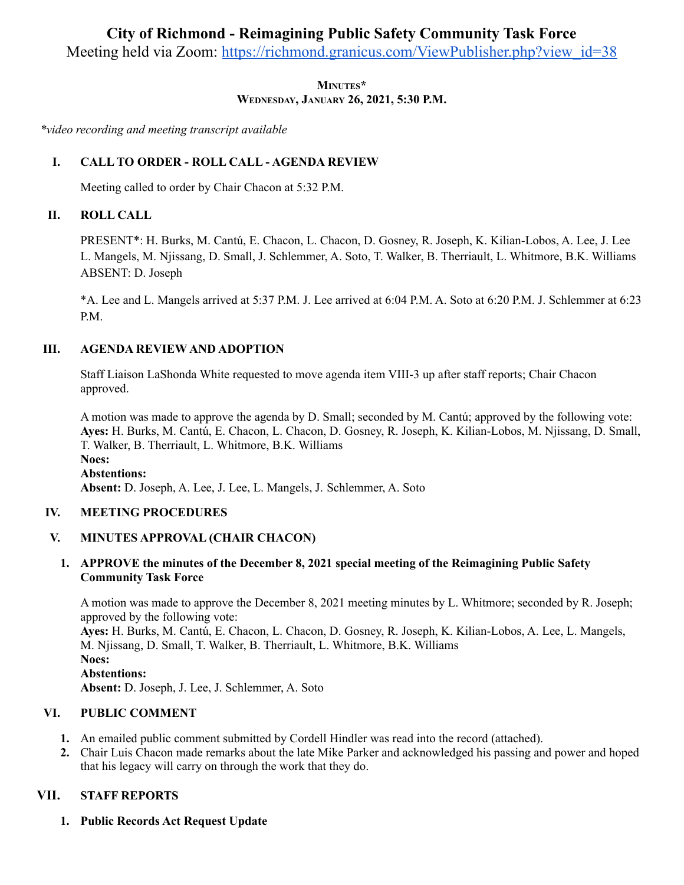# **City of Richmond - Reimagining Public Safety Community Task Force**

Meeting held via Zoom: [https://richmond.granicus.com/ViewPublisher.php?view\\_id=38](https://richmond.granicus.com/ViewPublisher.php?view_id=38)

**MINUTES\* WEDNESDAY, JANUARY 26, 2021, 5:30 P.M.**

*\*video recording and meeting transcript available*

# **I. CALL TO ORDER - ROLL CALL - AGENDA REVIEW**

Meeting called to order by Chair Chacon at 5:32 P.M.

# **II. ROLL CALL**

PRESENT\*: H. Burks, M. Cantú, E. Chacon, L. Chacon, D. Gosney, R. Joseph, K. Kilian-Lobos, A. Lee, J. Lee L. Mangels, M. Njissang, D. Small, J. Schlemmer, A. Soto, T. Walker, B. Therriault, L. Whitmore, B.K. Williams ABSENT: D. Joseph

\*A. Lee and L. Mangels arrived at 5:37 P.M. J. Lee arrived at 6:04 P.M. A. Soto at 6:20 P.M. J. Schlemmer at 6:23 P.M.

# **III. AGENDA REVIEW AND ADOPTION**

Staff Liaison LaShonda White requested to move agenda item VIII-3 up after staff reports; Chair Chacon approved.

A motion was made to approve the agenda by D. Small; seconded by M. Cantú; approved by the following vote: **Ayes:** H. Burks, M. Cantú, E. Chacon, L. Chacon, D. Gosney, R. Joseph, K. Kilian-Lobos, M. Njissang, D. Small, T. Walker, B. Therriault, L. Whitmore, B.K. Williams **Noes: Abstentions: Absent:** D. Joseph, A. Lee, J. Lee, L. Mangels, J. Schlemmer, A. Soto

# **IV. MEETING PROCEDURES**

# **V. MINUTES APPROVAL (CHAIR CHACON)**

# **1. APPROVE the minutes of the December 8, 2021 special meeting of the Reimagining Public Safety Community Task Force**

A motion was made to approve the December 8, 2021 meeting minutes by L. Whitmore; seconded by R. Joseph; approved by the following vote:

**Ayes:** H. Burks, M. Cantú, E. Chacon, L. Chacon, D. Gosney, R. Joseph, K. Kilian-Lobos, A. Lee, L. Mangels, M. Njissang, D. Small, T. Walker, B. Therriault, L. Whitmore, B.K. Williams **Noes: Abstentions: Absent:** D. Joseph, J. Lee, J. Schlemmer, A. Soto

# **VI. PUBLIC COMMENT**

- **1.** An emailed public comment submitted by Cordell Hindler was read into the record (attached).
- **2.** Chair Luis Chacon made remarks about the late Mike Parker and acknowledged his passing and power and hoped that his legacy will carry on through the work that they do.

# **VII. STAFF REPORTS**

**1. Public Records Act Request Update**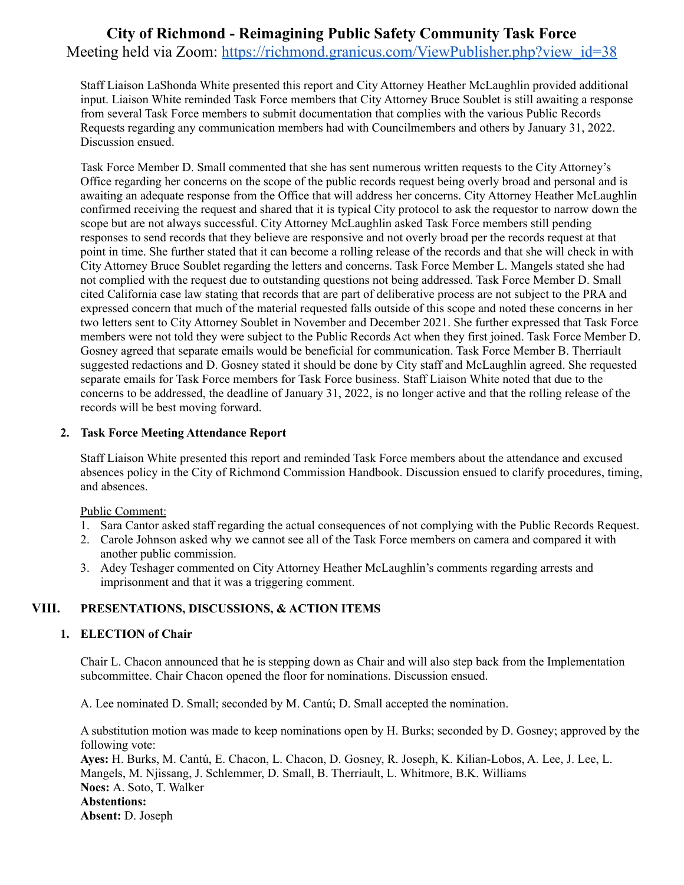# **City of Richmond - Reimagining Public Safety Community Task Force** Meeting held via Zoom: [https://richmond.granicus.com/ViewPublisher.php?view\\_id=38](https://richmond.granicus.com/ViewPublisher.php?view_id=38)

Staff Liaison LaShonda White presented this report and City Attorney Heather McLaughlin provided additional input. Liaison White reminded Task Force members that City Attorney Bruce Soublet is still awaiting a response from several Task Force members to submit documentation that complies with the various Public Records Requests regarding any communication members had with Councilmembers and others by January 31, 2022. Discussion ensued.

Task Force Member D. Small commented that she has sent numerous written requests to the City Attorney's Office regarding her concerns on the scope of the public records request being overly broad and personal and is awaiting an adequate response from the Office that will address her concerns. City Attorney Heather McLaughlin confirmed receiving the request and shared that it is typical City protocol to ask the requestor to narrow down the scope but are not always successful. City Attorney McLaughlin asked Task Force members still pending responses to send records that they believe are responsive and not overly broad per the records request at that point in time. She further stated that it can become a rolling release of the records and that she will check in with City Attorney Bruce Soublet regarding the letters and concerns. Task Force Member L. Mangels stated she had not complied with the request due to outstanding questions not being addressed. Task Force Member D. Small cited California case law stating that records that are part of deliberative process are not subject to the PRA and expressed concern that much of the material requested falls outside of this scope and noted these concerns in her two letters sent to City Attorney Soublet in November and December 2021. She further expressed that Task Force members were not told they were subject to the Public Records Act when they first joined. Task Force Member D. Gosney agreed that separate emails would be beneficial for communication. Task Force Member B. Therriault suggested redactions and D. Gosney stated it should be done by City staff and McLaughlin agreed. She requested separate emails for Task Force members for Task Force business. Staff Liaison White noted that due to the concerns to be addressed, the deadline of January 31, 2022, is no longer active and that the rolling release of the records will be best moving forward.

### **2. Task Force Meeting Attendance Report**

Staff Liaison White presented this report and reminded Task Force members about the attendance and excused absences policy in the City of Richmond Commission Handbook. Discussion ensued to clarify procedures, timing, and absences.

Public Comment:

- 1. Sara Cantor asked staff regarding the actual consequences of not complying with the Public Records Request.
- 2. Carole Johnson asked why we cannot see all of the Task Force members on camera and compared it with another public commission.
- 3. Adey Teshager commented on City Attorney Heather McLaughlin's comments regarding arrests and imprisonment and that it was a triggering comment.

# **VIII. PRESENTATIONS, DISCUSSIONS, & ACTION ITEMS**

### **1. ELECTION of Chair**

Chair L. Chacon announced that he is stepping down as Chair and will also step back from the Implementation subcommittee. Chair Chacon opened the floor for nominations. Discussion ensued.

A. Lee nominated D. Small; seconded by M. Cantú; D. Small accepted the nomination.

A substitution motion was made to keep nominations open by H. Burks; seconded by D. Gosney; approved by the following vote:

**Ayes:** H. Burks, M. Cantú, E. Chacon, L. Chacon, D. Gosney, R. Joseph, K. Kilian-Lobos, A. Lee, J. Lee, L. Mangels, M. Njissang, J. Schlemmer, D. Small, B. Therriault, L. Whitmore, B.K. Williams **Noes:** A. Soto, T. Walker **Abstentions: Absent:** D. Joseph